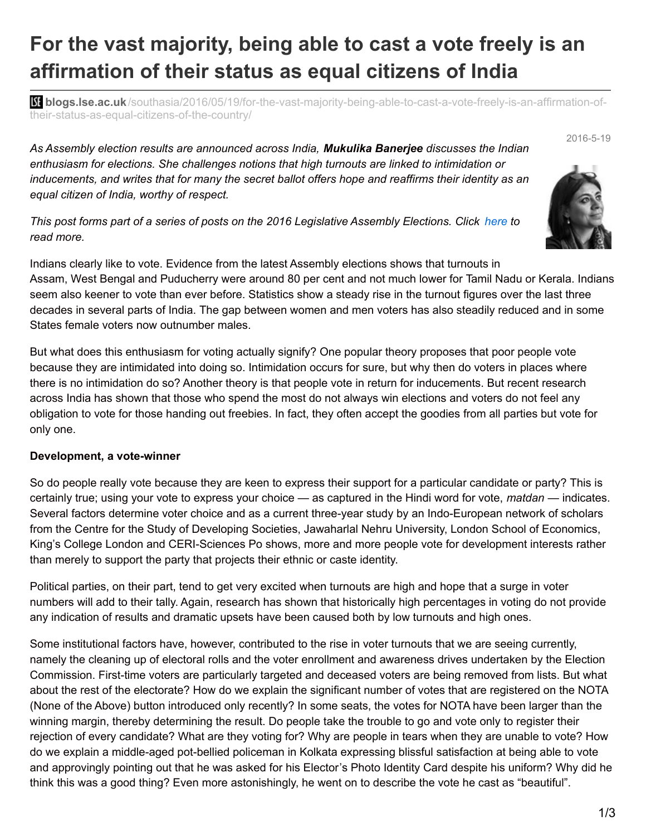## **For the vast majority, being able to cast a vote freely is an affirmation of their status as equal citizens of India**

**blogs.lse.ac.uk**[/southasia/2016/05/19/for-the-vast-majority-being-able-to-cast-a-vote-freely-is-an-affirmation-of](http://blogs.lse.ac.uk/southasia/2016/05/19/for-the-vast-majority-being-able-to-cast-a-vote-freely-is-an-affirmation-of-their-status-as-equal-citizens-of-the-country/)their-status-as-equal-citizens-of-the-country/

*As Assembly election results are announced across India, Mukulika Banerjee discusses the Indian enthusiasm for elections. She challenges notions that high turnouts are linked to intimidation or inducements, and writes that for many the secret ballot offers hope and reaffirms their identity as an equal citizen of India, worthy of respect.*

This post forms part of a series of posts on the 2016 Legislative Assembly Elections. Click [here](http://blogs.lse.ac.uk/southasia/tag/legislative-assembly-elections/) to *read more.*

Indians clearly like to vote. Evidence from the latest Assembly elections shows that turnouts in Assam, West Bengal and Puducherry were around 80 per cent and not much lower for Tamil Nadu or Kerala. Indians seem also keener to vote than ever before. Statistics show a steady rise in the turnout figures over the last three decades in several parts of India. The gap between women and men voters has also steadily reduced and in some States female voters now outnumber males.

But what does this enthusiasm for voting actually signify? One popular theory proposes that poor people vote because they are intimidated into doing so. Intimidation occurs for sure, but why then do voters in places where there is no intimidation do so? Another theory is that people vote in return for inducements. But recent research across India has shown that those who spend the most do not always win elections and voters do not feel any obligation to vote for those handing out freebies. In fact, they often accept the goodies from all parties but vote for only one.

## **Development, a vote-winner**

So do people really vote because they are keen to express their support for a particular candidate or party? This is certainly true; using your vote to express your choice — as captured in the Hindi word for vote, *matdan* — indicates. Several factors determine voter choice and as a current three-year study by an Indo-European network of scholars from the Centre for the Study of Developing Societies, Jawaharlal Nehru University, London School of Economics, King's College London and CERI-Sciences Po shows, more and more people vote for development interests rather than merely to support the party that projects their ethnic or caste identity.

Political parties, on their part, tend to get very excited when turnouts are high and hope that a surge in voter numbers will add to their tally. Again, research has shown that historically high percentages in voting do not provide any indication of results and dramatic upsets have been caused both by low turnouts and high ones.

Some institutional factors have, however, contributed to the rise in voter turnouts that we are seeing currently, namely the cleaning up of electoral rolls and the voter enrollment and awareness drives undertaken by the Election Commission. First-time voters are particularly targeted and deceased voters are being removed from lists. But what about the rest of the electorate? How do we explain the significant number of votes that are registered on the NOTA (None of the Above) button introduced only recently? In some seats, the votes for NOTA have been larger than the winning margin, thereby determining the result. Do people take the trouble to go and vote only to register their rejection of every candidate? What are they voting for? Why are people in tears when they are unable to vote? How do we explain a middle-aged pot-bellied policeman in Kolkata expressing blissful satisfaction at being able to vote and approvingly pointing out that he was asked for his Elector's Photo Identity Card despite his uniform? Why did he think this was a good thing? Even more astonishingly, he went on to describe the vote he cast as "beautiful".



2016-5-19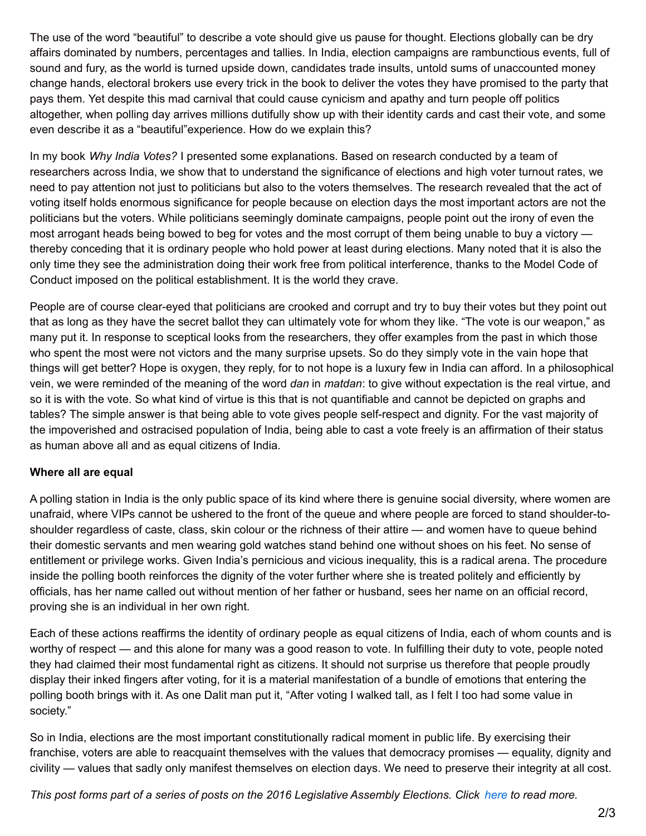The use of the word "beautiful" to describe a vote should give us pause for thought. Elections globally can be dry affairs dominated by numbers, percentages and tallies. In India, election campaigns are rambunctious events, full of sound and fury, as the world is turned upside down, candidates trade insults, untold sums of unaccounted money change hands, electoral brokers use every trick in the book to deliver the votes they have promised to the party that pays them. Yet despite this mad carnival that could cause cynicism and apathy and turn people off politics altogether, when polling day arrives millions dutifully show up with their identity cards and cast their vote, and some even describe it as a "beautiful"experience. How do we explain this?

In my book *Why India Votes?* I presented some explanations. Based on research conducted by a team of researchers across India, we show that to understand the significance of elections and high voter turnout rates, we need to pay attention not just to politicians but also to the voters themselves. The research revealed that the act of voting itself holds enormous significance for people because on election days the most important actors are not the politicians but the voters. While politicians seemingly dominate campaigns, people point out the irony of even the most arrogant heads being bowed to beg for votes and the most corrupt of them being unable to buy a victory thereby conceding that it is ordinary people who hold power at least during elections. Many noted that it is also the only time they see the administration doing their work free from political interference, thanks to the Model Code of Conduct imposed on the political establishment. It is the world they crave.

People are of course clear-eyed that politicians are crooked and corrupt and try to buy their votes but they point out that as long as they have the secret ballot they can ultimately vote for whom they like. "The vote is our weapon," as many put it. In response to sceptical looks from the researchers, they offer examples from the past in which those who spent the most were not victors and the many surprise upsets. So do they simply vote in the vain hope that things will get better? Hope is oxygen, they reply, for to not hope is a luxury few in India can afford. In a philosophical vein, we were reminded of the meaning of the word *dan* in *matdan*: to give without expectation is the real virtue, and so it is with the vote. So what kind of virtue is this that is not quantifiable and cannot be depicted on graphs and tables? The simple answer is that being able to vote gives people self-respect and dignity. For the vast majority of the impoverished and ostracised population of India, being able to cast a vote freely is an affirmation of their status as human above all and as equal citizens of India.

## **Where all are equal**

A polling station in India is the only public space of its kind where there is genuine social diversity, where women are unafraid, where VIPs cannot be ushered to the front of the queue and where people are forced to stand shoulder-toshoulder regardless of caste, class, skin colour or the richness of their attire — and women have to queue behind their domestic servants and men wearing gold watches stand behind one without shoes on his feet. No sense of entitlement or privilege works. Given India's pernicious and vicious inequality, this is a radical arena. The procedure inside the polling booth reinforces the dignity of the voter further where she is treated politely and efficiently by officials, has her name called out without mention of her father or husband, sees her name on an official record, proving she is an individual in her own right.

Each of these actions reaffirms the identity of ordinary people as equal citizens of India, each of whom counts and is worthy of respect — and this alone for many was a good reason to vote. In fulfilling their duty to vote, people noted they had claimed their most fundamental right as citizens. It should not surprise us therefore that people proudly display their inked fingers after voting, for it is a material manifestation of a bundle of emotions that entering the polling booth brings with it. As one Dalit man put it, "After voting I walked tall, as I felt I too had some value in society."

So in India, elections are the most important constitutionally radical moment in public life. By exercising their franchise, voters are able to reacquaint themselves with the values that democracy promises — equality, dignity and civility — values that sadly only manifest themselves on election days. We need to preserve their integrity at all cost.

This post forms part of a series of posts on the 2016 Legislative Assembly Elections. Click [here](http://blogs.lse.ac.uk/southasia/tag/legislative-assembly-elections/) to read more.